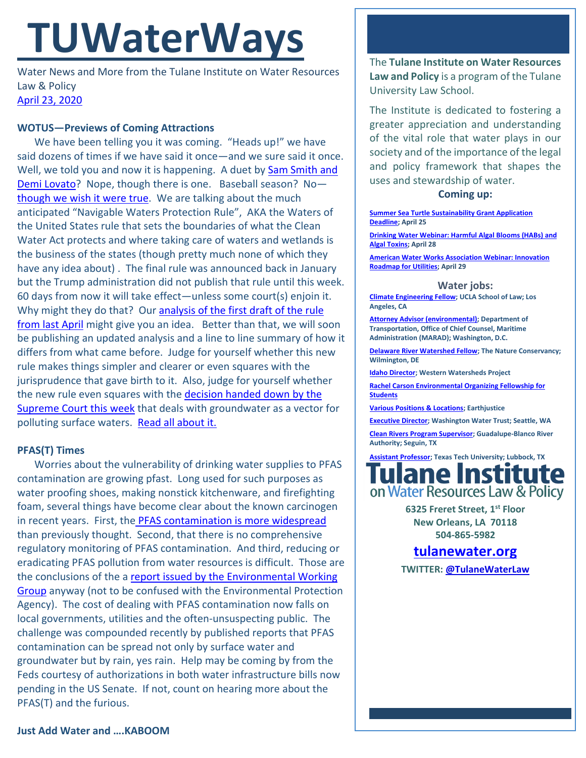# **TUWaterWays**

Water News and More from the Tulane Institute on Water Resources Law & Policy [April 23,](https://thisdayinwaterhistory.wordpress.com/) 2020

### **WOTUS—Previews of Coming Attractions**

We have been telling you it was coming. "Heads up!" we have said dozens of times if we have said it once—and we sure said it once. Well, we told you and now it is happening. A duet by [Sam Smith](https://www.youtube.com/watch?v=glD1M418bC0) and [Demi Lovato?](https://www.youtube.com/watch?v=glD1M418bC0) Nope, though there is one. Baseball season? No[though we wish it were true.](https://images.app.goo.gl/jAPfkTbSRZLz726AA) We are talking about the much anticipated "Navigable Waters Protection Rule", AKA the Waters of the United States rule that sets the boundaries of what the Clean Water Act protects and where taking care of waters and wetlands is the business of the states (though pretty much none of which they have any idea about) . The final rule was announced back in January but the Trump administration did not publish that rule until this week. 60 days from now it will take effect—unless some court(s) enjoin it. Why might they do that? Our [analysis of the first draft of the rule](https://a21005ea-f0f0-4cff-a527-7c658373c740.filesusr.com/ugd/32079b_c136a0836d184119b5cc0bf76e7bf928.pdf)  [from last April](https://a21005ea-f0f0-4cff-a527-7c658373c740.filesusr.com/ugd/32079b_c136a0836d184119b5cc0bf76e7bf928.pdf) might give you an idea. Better than that, we will soon be publishing an updated analysis and a line to line summary of how it differs from what came before. Judge for yourself whether this new rule makes things simpler and clearer or even squares with the jurisprudence that gave birth to it. Also, judge for yourself whether the new rule even squares with the [decision handed down by](https://www.supremecourt.gov/opinions/19pdf/18-260_5i36.pdf) the [Supreme Court this week](https://www.supremecourt.gov/opinions/19pdf/18-260_5i36.pdf) that deals with groundwater as a vector for polluting surface waters. [Read all about it.](https://www.federalregister.gov/documents/2020/04/21/2020-02500/the-navigable-waters-protection-rule-definition-of-waters-of-the-united-states)

## **PFAS(T) Times**

Worries about the vulnerability of drinking water supplies to PFAS contamination are growing pfast. Long used for such purposes as water proofing shoes, making nonstick kitchenware, and firefighting foam, several things have become clear about the known carcinogen in recent years. First, the [PFAS contamination is more widespread](https://www.ewg.org/news-and-analysis/2020/04/updated-thousands-industrial-facilities-likely-discharging-toxic-forever) than previously thought. Second, that there is no comprehensive regulatory monitoring of PFAS contamination. And third, reducing or eradicating PFAS pollution from water resources is difficult. Those are the conclusions of the a [report issued by the Environmental Working](https://cdn3.ewg.org/sites/default/files/u352/Stoiber_Evans_WaterSolutions_2020.pdf?_ga=2.265172623.1410024112.1587557845-752655008.1562697417f)  [Group](https://cdn3.ewg.org/sites/default/files/u352/Stoiber_Evans_WaterSolutions_2020.pdf?_ga=2.265172623.1410024112.1587557845-752655008.1562697417f) anyway (not to be confused with the Environmental Protection Agency). The cost of dealing with PFAS contamination now falls on local governments, utilities and the often-unsuspecting public. The challenge was compounded recently by published reports that PFAS contamination can be spread not only by surface water and groundwater but by rain, yes rain. Help may be coming by from the Feds courtesy of authorizations in both water infrastructure bills now pending in the US Senate. If not, count on hearing more about the PFAS(T) and the furious.

The **Tulane Institute on Water Resources Law and Policy** is a program of the Tulane University Law School.

The Institute is dedicated to fostering a greater appreciation and understanding of the vital role that water plays in our society and of the importance of the legal and policy framework that shapes the uses and stewardship of water.

#### **Coming up:**

**[Summer Sea Turtle Sustainability Grant Application](https://seaturtles.org/sea-turtle-grants/)  [Deadline;](https://seaturtles.org/sea-turtle-grants/) April 25**

**[Drinking Water Webinar: Harmful Algal Blooms \(HABs\) and](https://www.epa.gov/water-research/small-systems-monthly-webinar-series)  [Algal Toxins;](https://www.epa.gov/water-research/small-systems-monthly-webinar-series) April 28**

**[American Water Works Association Webinar: Innovation](https://www.awwa.org/Events/AWWA-Events-Calendar/Meeting-Details?productId=81420657)  [Roadmap for Utilities;](https://www.awwa.org/Events/AWWA-Events-Calendar/Meeting-Details?productId=81420657) April 29**

**Water jobs:**

**[Climate Engineering Fellow;](https://recruit.apo.ucla.edu/JPF05311) UCLA School of Law; Los Angeles, CA**

**[Attorney Advisor \(environmental\);](https://www.usajobs.gov/GetJob/ViewDetails/564362900#how-to-apply) Department of Transportation, Office of Chief Counsel, Maritime Administration (MARAD); Washington, D.C.**

**[Delaware River Watershed Fellow;](https://careers.nature.org/psp/tnccareers/APPLICANT/APPL/c/HRS_HRAM.HRS_APP_SCHJOB.GBL?Page=HRS_APP_JBPST&Action=U&FOCUS=Applicant&SiteId=1&JobOpeningId=48622&PostingSeq=1) The Nature Conservancy; Wilmington, DE**

**[Idaho Director;](https://www.westernwatersheds.org/jobs/) Western Watersheds Project**

**[Rachel Carson Environmental Organizing Fellowship for](https://rachelcarsoncouncil.org/fellowship/)  [Students](https://rachelcarsoncouncil.org/fellowship/)**

**[Various Positions & Locations;](https://earthjustice.org/about/jobs) Earthjustice**

**[Executive Director;](http://www.washingtonwatertrust.org/job-opportunities) Washington Water Trust; Seattle, WA [Clean Rivers Program Supervisor;](https://recruiting.paylocity.com/recruiting/jobs/Details/261795/Guadalupe-Blanco-River-Authority/Clean-Rivers-Program-Supervisor) Guadalupe-Blanco River Authority; Seguin, TX**

**[Assistant Professor;](https://sjobs.brassring.com/TGnewUI/Search/home/HomeWithPreLoad?partnerid=25898&siteid=5637&PageType=JobDetails&jobid=501703&codes=INDEED#jobDetails=501703_5637) Texas Tech University; Lubbock, TX** lane Institute on Water Resources Law & Policy

> **6325 Freret Street, 1st Floor New Orleans, LA 70118 504-865-5982**

# **[tulanewater.org](file:///C:/Users/waterlaw/Downloads/tulanewater.org)**

**TWITTER[: @TulaneWaterLaw](http://www.twitter.com/TulaneWaterLaw)**